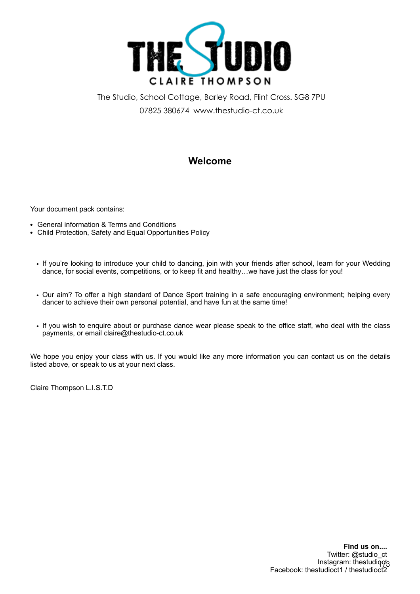

The Studio, School Cottage, Barley Road, Flint Cross. SG8 7PU 07825 380674 www.thestudio-ct.co.uk

# **Welcome**

Your document pack contains:

- General information & Terms and Conditions
- Child Protection, Safety and Equal Opportunities Policy
	- If you're looking to introduce your child to dancing, join with your friends after school, learn for your Wedding dance, for social events, competitions, or to keep fit and healthy…we have just the class for you!
	- Our aim? To offer a high standard of Dance Sport training in a safe encouraging environment; helping every dancer to achieve their own personal potential, and have fun at the same time!
	- If you wish to enquire about or purchase dance wear please speak to the office staff, who deal with the class payments, or email claire@thestudio-ct.co.uk

We hope you enjoy your class with us. If you would like any more information you can contact us on the details listed above, or speak to us at your next class.

Claire Thompson L.I.S.T.D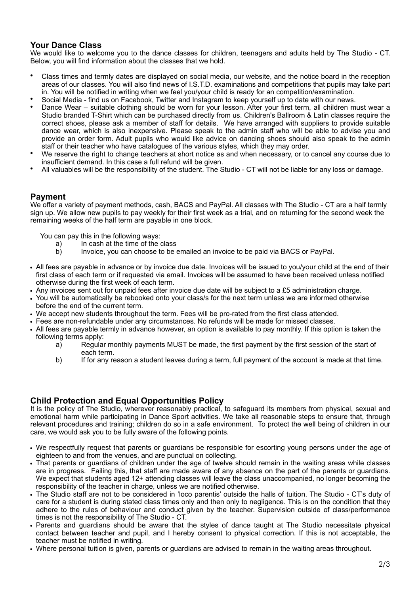# **Your Dance Class**

We would like to welcome you to the dance classes for children, teenagers and adults held by The Studio - CT. Below, you will find information about the classes that we hold.

- Class times and termly dates are displayed on social media, our website, and the notice board in the reception areas of our classes. You will also find news of I.S.T.D. examinations and competitions that pupils may take part in. You will be notified in writing when we feel you/your child is ready for an competition/examination.
- Social Media find us on Facebook, Twitter and Instagram to keep yourself up to date with our news.
- Dance Wear suitable clothing should be worn for your lesson. After your first term, all children must wear a Studio branded T-Shirt which can be purchased directly from us. Children's Ballroom & Latin classes require the correct shoes, please ask a member of staff for details. We have arranged with suppliers to provide suitable dance wear, which is also inexpensive. Please speak to the admin staff who will be able to advise you and provide an order form. Adult pupils who would like advice on dancing shoes should also speak to the admin staff or their teacher who have catalogues of the various styles, which they may order.
- We reserve the right to change teachers at short notice as and when necessary, or to cancel any course due to insufficient demand. In this case a full refund will be given.
- All valuables will be the responsibility of the student. The Studio CT will not be liable for any loss or damage.

#### **Payment**

We offer a variety of payment methods, cash, BACS and PayPal. All classes with The Studio - CT are a half termly sign up. We allow new pupils to pay weekly for their first week as a trial, and on returning for the second week the remaining weeks of the half term are payable in one block.

- You can pay this in the following ways:
	- a) In cash at the time of the class<br>b) Invoice, you can choose to be
	- Invoice, you can choose to be emailed an invoice to be paid via BACS or PayPal.
- All fees are payable in advance or by invoice due date. Invoices will be issued to you/your child at the end of their first class of each term or if requested via email. Invoices will be assumed to have been received unless notified otherwise during the first week of each term.
- Any invoices sent out for unpaid fees after invoice due date will be subject to a £5 administration charge.
- You will be automatically be rebooked onto your class/s for the next term unless we are informed otherwise before the end of the current term.
- We accept new students throughout the term. Fees will be pro-rated from the first class attended.
- Fees are non-refundable under any circumstances. No refunds will be made for missed classes.
- All fees are payable termly in advance however, an option is available to pay monthly. If this option is taken the following terms apply:
	- a) Regular monthly payments MUST be made, the first payment by the first session of the start of each term.
	- b) If for any reason a student leaves during a term, full payment of the account is made at that time.

# **Child Protection and Equal Opportunities Policy**

It is the policy of The Studio, wherever reasonably practical, to safeguard its members from physical, sexual and emotional harm while participating in Dance Sport activities. We take all reasonable steps to ensure that, through relevant procedures and training; children do so in a safe environment. To protect the well being of children in our care, we would ask you to be fully aware of the following points.

- We respectfully request that parents or guardians be responsible for escorting young persons under the age of eighteen to and from the venues, and are punctual on collecting.
- That parents or guardians of children under the age of twelve should remain in the waiting areas while classes are in progress. Failing this, that staff are made aware of any absence on the part of the parents or guardians. We expect that students aged 12+ attending classes will leave the class unaccompanied, no longer becoming the responsibility of the teacher in charge, unless we are notified otherwise.
- The Studio staff are not to be considered in 'loco parentis' outside the halls of tuition. The Studio CT's duty of care for a student is during stated class times only and then only to negligence. This is on the condition that they adhere to the rules of behaviour and conduct given by the teacher. Supervision outside of class/performance times is not the responsibility of The Studio - CT.
- Parents and guardians should be aware that the styles of dance taught at The Studio necessitate physical contact between teacher and pupil, and I hereby consent to physical correction. If this is not acceptable, the teacher must be notified in writing.
- Where personal tuition is given, parents or guardians are advised to remain in the waiting areas throughout.